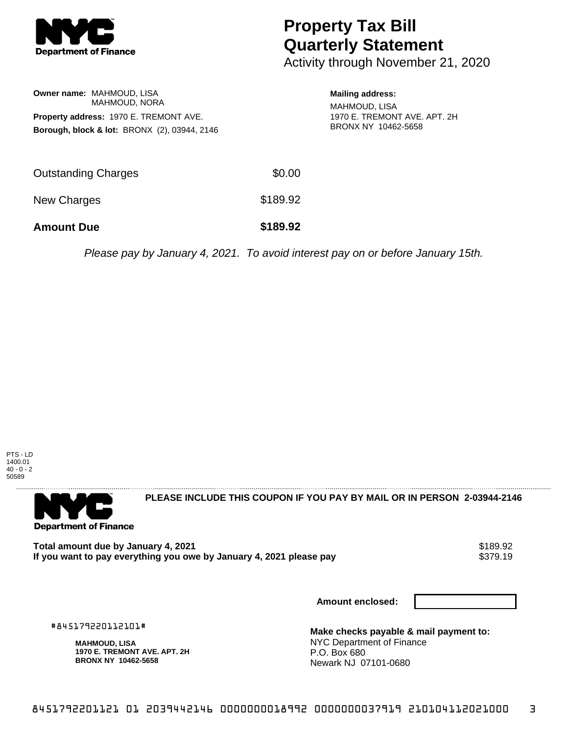

# **Property Tax Bill Quarterly Statement**

Activity through November 21, 2020

## **Owner name:** MAHMOUD, LISA MAHMOUD, NORA **Property address:** 1970 E. TREMONT AVE. **Borough, block & lot:** BRONX (2), 03944, 2146

## **Mailing address:**

MAHMOUD, LISA 1970 E. TREMONT AVE. APT. 2H BRONX NY 10462-5658

| <b>Amount Due</b>   | \$189.92 |
|---------------------|----------|
| New Charges         | \$189.92 |
| Outstanding Charges | \$0.00   |

Please pay by January 4, 2021. To avoid interest pay on or before January 15th.





**PLEASE INCLUDE THIS COUPON IF YOU PAY BY MAIL OR IN PERSON 2-03944-2146** 

**Total amount due by January 4, 2021**<br>If you want to pay everything you owe by January 4, 2021 please pay \$379.19 If you want to pay everything you owe by January 4, 2021 please pay

**Amount enclosed:**

#845179220112101#

**MAHMOUD, LISA 1970 E. TREMONT AVE. APT. 2H BRONX NY 10462-5658**

**Make checks payable & mail payment to:** NYC Department of Finance P.O. Box 680 Newark NJ 07101-0680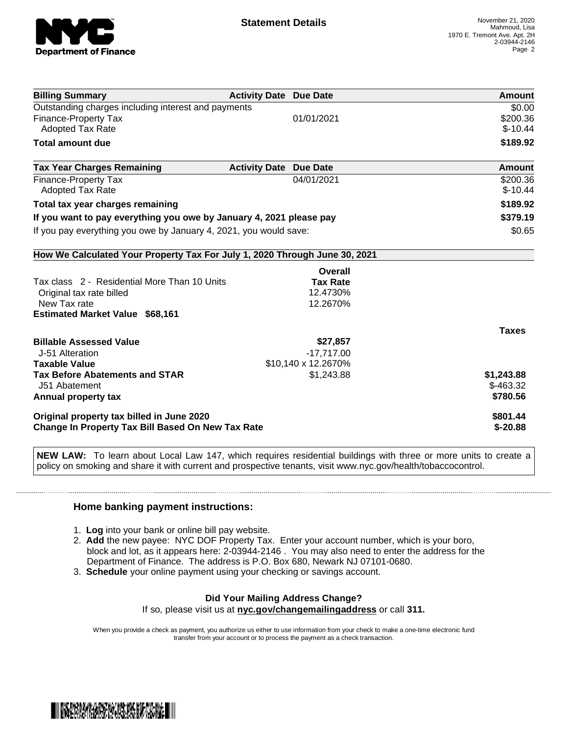

| <b>Billing Summary</b>                                                     | <b>Activity Date Due Date</b> |                     | Amount        |
|----------------------------------------------------------------------------|-------------------------------|---------------------|---------------|
| Outstanding charges including interest and payments                        |                               |                     | \$0.00        |
| <b>Finance-Property Tax</b>                                                |                               | 01/01/2021          | \$200.36      |
| <b>Adopted Tax Rate</b>                                                    |                               |                     | $$-10.44$     |
| <b>Total amount due</b>                                                    |                               |                     | \$189.92      |
| <b>Tax Year Charges Remaining</b>                                          | <b>Activity Date</b>          | <b>Due Date</b>     | <b>Amount</b> |
| <b>Finance-Property Tax</b>                                                |                               | 04/01/2021          | \$200.36      |
| <b>Adopted Tax Rate</b>                                                    |                               |                     | $$-10.44$     |
| Total tax year charges remaining                                           |                               |                     | \$189.92      |
| If you want to pay everything you owe by January 4, 2021 please pay        |                               |                     | \$379.19      |
| If you pay everything you owe by January 4, 2021, you would save:          |                               |                     | \$0.65        |
| How We Calculated Your Property Tax For July 1, 2020 Through June 30, 2021 |                               |                     |               |
|                                                                            |                               | Overall             |               |
| Tax class 2 - Residential More Than 10 Units                               |                               | <b>Tax Rate</b>     |               |
| Original tax rate billed                                                   |                               | 12.4730%            |               |
| New Tax rate                                                               |                               | 12.2670%            |               |
| <b>Estimated Market Value \$68,161</b>                                     |                               |                     |               |
|                                                                            |                               |                     | <b>Taxes</b>  |
| <b>Billable Assessed Value</b>                                             |                               | \$27,857            |               |
| J-51 Alteration                                                            |                               | $-17,717.00$        |               |
| <b>Taxable Value</b>                                                       |                               | \$10,140 x 12.2670% |               |
| <b>Tax Before Abatements and STAR</b>                                      |                               | \$1,243.88          | \$1,243.88    |
| J51 Abatement                                                              |                               |                     | $$-463.32$    |
| Annual property tax                                                        |                               |                     | \$780.56      |
| Original property tax billed in June 2020                                  |                               | \$801.44            |               |
| Change In Property Tax Bill Based On New Tax Rate                          |                               |                     | $$ -20.88$    |

**NEW LAW:** To learn about Local Law 147, which requires residential buildings with three or more units to create a policy on smoking and share it with current and prospective tenants, visit www.nyc.gov/health/tobaccocontrol.

### **Home banking payment instructions:**

- 1. **Log** into your bank or online bill pay website.
- 2. **Add** the new payee: NYC DOF Property Tax. Enter your account number, which is your boro, block and lot, as it appears here: 2-03944-2146 . You may also need to enter the address for the Department of Finance. The address is P.O. Box 680, Newark NJ 07101-0680.
- 3. **Schedule** your online payment using your checking or savings account.

#### **Did Your Mailing Address Change?** If so, please visit us at **nyc.gov/changemailingaddress** or call **311.**

When you provide a check as payment, you authorize us either to use information from your check to make a one-time electronic fund transfer from your account or to process the payment as a check transaction.